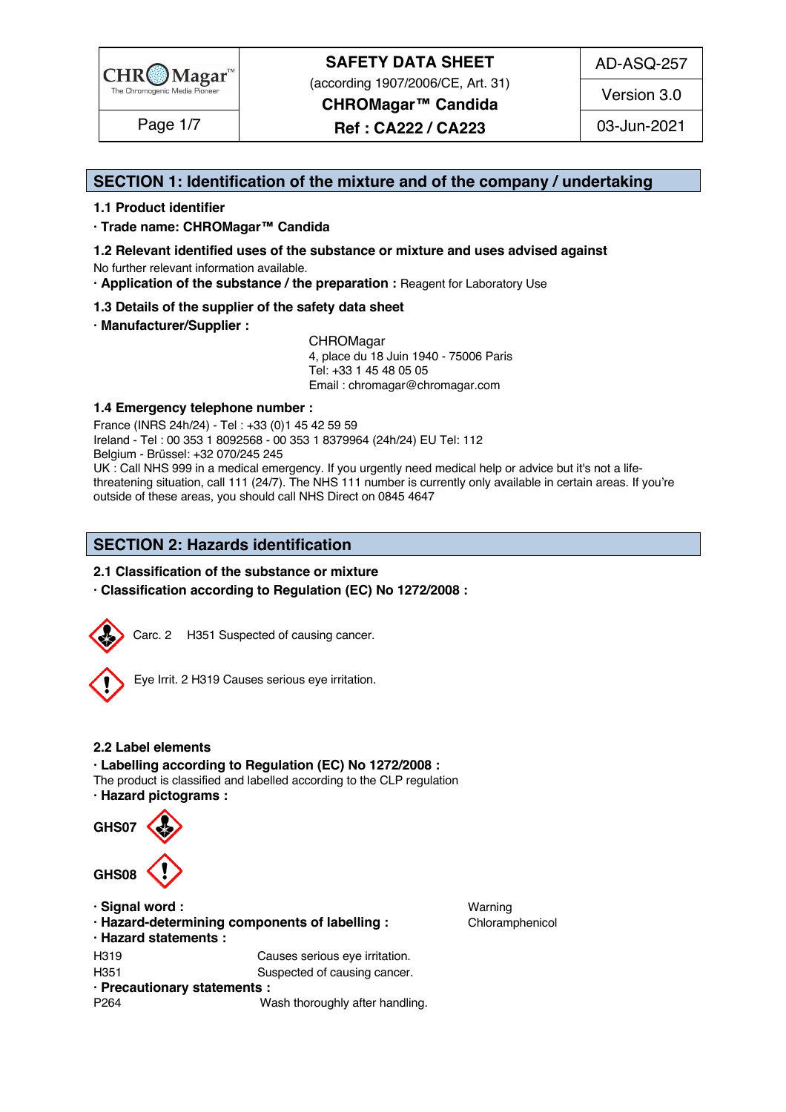

# **SAFETY DATA SHEET** (according 1907/2006/CE, Art. 31)

**CHROMagar™ Candida**

**Ref : CA222 / CA223** Page 1/7 03-Jun-2021

## **SECTION 1: Identification of the mixture and of the company / undertaking** 1

### **1.1 Product identifier** 2

**· Trade name: CHROMagar™ Candida** 3

- **1.2 Relevant identified uses of the substance or mixture and uses advised against** 4
- No further relevant information available. 5 **· Application of the substance / the preparation :** Reagent for Laboratory Use 6
- **1.3 Details of the supplier of the safety data sheet** 7
- **· Manufacturer/Supplier :** 8

CHROMagar 9 and 200 million and 200 million and 200 million and 200 million and 200 million and 200 million and 200 million and 200 million and 200 million and 200 million and 200 million and 200 million and 200 million an 4, place du 18 Juin 1940 - 75006 Paris 10 Tel: +33 1 45 48 05 05 11 11 12 11 12 11 12 11 12 11 12 11 12 11 12 11 12 11 12 1 Email : chromagar@chromagar.com 12

### **1.4 Emergency telephone number :** 13

France (INRS 24h/24) - Tel : +33 (0)1 45 42 59 59 Ireland - Tel : 00 353 1 8092568 - 00 353 1 8379964 (24h/24) EU Tel: 112<br>Belgium - Brüssel: +32 070/245 245 Belgium - Brüssel: +32 070/245 245 16 UK : Call NHS 999 in a medical emergency. If you urgently need medical help or advice but it's not a lifethreatening situation, call 111 (24/7). The NHS 111 number is currently only available in certain areas. If you're outside of these areas, you should call NHS Direct on 0845 4647

### **SECTION 2: Hazards identification**

### **2.1 Classification of the substance or mixture**

**· Classification according to Regulation (EC) No 1272/2008 :** 24



Carc. 2 H351 Suspected of causing cancer.



Eye Irrit. 2 H319 Causes serious eye irritation.

### **2.2 Label elements** 31

**· Labelling according to Regulation (EC) No 1272/2008 :** 32 The product is classified and labelled according to the CLP regulation

**· Hazard pictograms :** 34



**· Hazard-determining components of labelling : Chloramphenicol 423 · Hazard statements :** 43 H319 Causes serious eye irritation. H351 Suspected of causing cancer. **· Precautionary statements :** 46 P264 **Wash thoroughly after handling.** 47 Mash thoroughly after handling.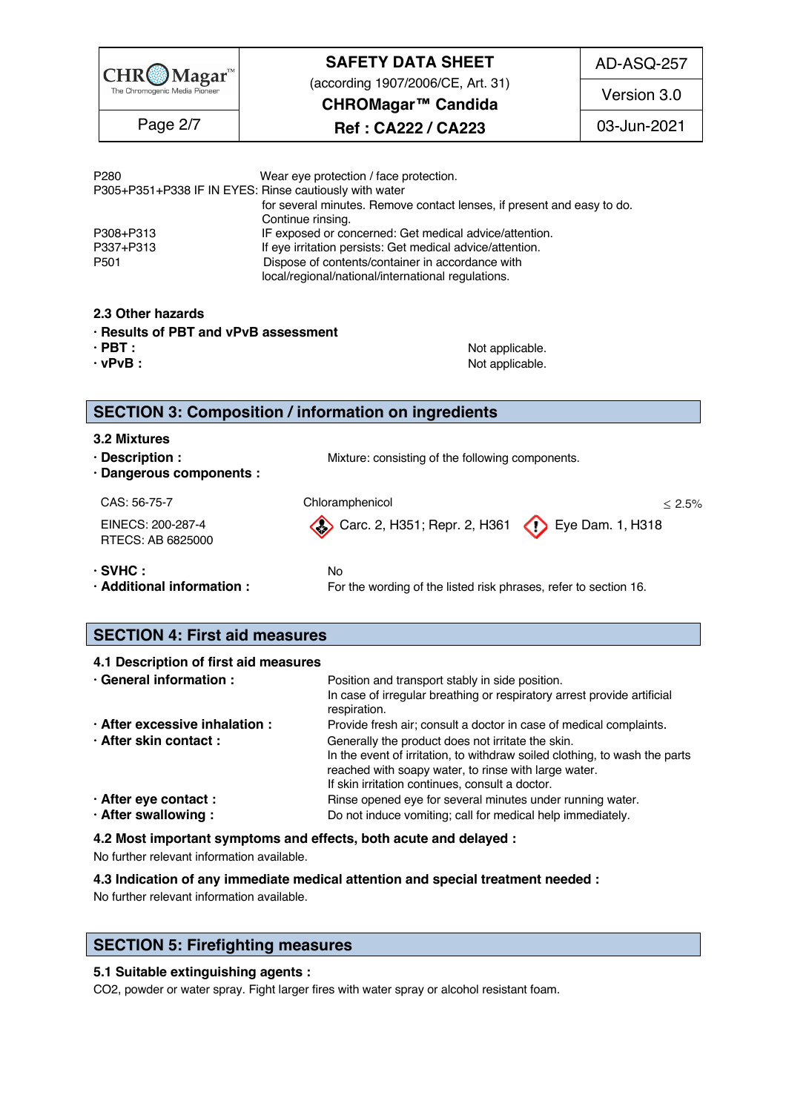| CHR(@)Magar                   |
|-------------------------------|
| The Chromogenic Media Pioneer |

# **SAFETY DATA SHEET** (according 1907/2006/CE, Art. 31)

AD-ASQ-257

**CHROMagar™ Candida**

Page 2/7 | **Ref : CA222 / CA223** | 03-Jun-2021

Version 3.0

| Wear eye protection / face protection.                                 |
|------------------------------------------------------------------------|
| P305+P351+P338 IF IN EYES: Rinse cautiously with water                 |
| for several minutes. Remove contact lenses, if present and easy to do. |
| Continue rinsing.                                                      |
| IF exposed or concerned: Get medical advice/attention.                 |
| If eye irritation persists: Get medical advice/attention.              |
| Dispose of contents/container in accordance with                       |
| local/regional/national/international regulations.                     |
|                                                                        |

### **2.3 Other hazards** 57

- **· Results of PBT and vPvB assessment** 58
- 
- 

**· PBT : b i c i c o i c i c o i c o i c o i c o i c o i c o i c** *<b>i* **c o i c** *<b>i <b> c i <b> <i>i* **c** *i <b> i i i i* **· vPvB :** Not applicable. 60

### **SECTION 3: Composition / information on ingredients** 63

- **3.2 Mixtures** 64
- **· Description : Mixture: consisting of the following components.**
- **· Dangerous components :** 66

RTECS: AB 6825000

 $CAS: 56-75-7$  Chloramphenicol  $\leq 2.5\%$ EINECS: 200-287-4 **Carc. 2, H351; Repr. 2, H361** Eye Dam. 1, H318

**· SVHC :** No 69 **· Additional information :** For the wording of the listed risk phrases, refer to section 16.

## **SECTION 4: First aid measures**

| 4.1 Description of first aid measures |                                                                            |  |  |
|---------------------------------------|----------------------------------------------------------------------------|--|--|
| · General information :               | Position and transport stably in side position.                            |  |  |
|                                       | In case of irregular breathing or respiratory arrest provide artificial    |  |  |
|                                       | respiration.                                                               |  |  |
| · After excessive inhalation :        | Provide fresh air; consult a doctor in case of medical complaints.         |  |  |
| · After skin contact:                 | Generally the product does not irritate the skin.                          |  |  |
|                                       | In the event of irritation, to withdraw soiled clothing, to wash the parts |  |  |
|                                       | reached with soapy water, to rinse with large water.                       |  |  |
|                                       | If skin irritation continues, consult a doctor.                            |  |  |
| · After eye contact :                 | Rinse opened eye for several minutes under running water.                  |  |  |
| · After swallowing:                   | Do not induce vomiting; call for medical help immediately.                 |  |  |
|                                       |                                                                            |  |  |

### **4.2 Most important symptoms and effects, both acute and delayed :** 85

No further relevant information available. 86

### **4.3 Indication of any immediate medical attention and special treatment needed :** 87

No further relevant information available. 88

## **SECTION 5: Firefighting measures**

### **5.1 Suitable extinguishing agents :** 92

CO2, powder or water spray. Fight larger fires with water spray or alcohol resistant foam.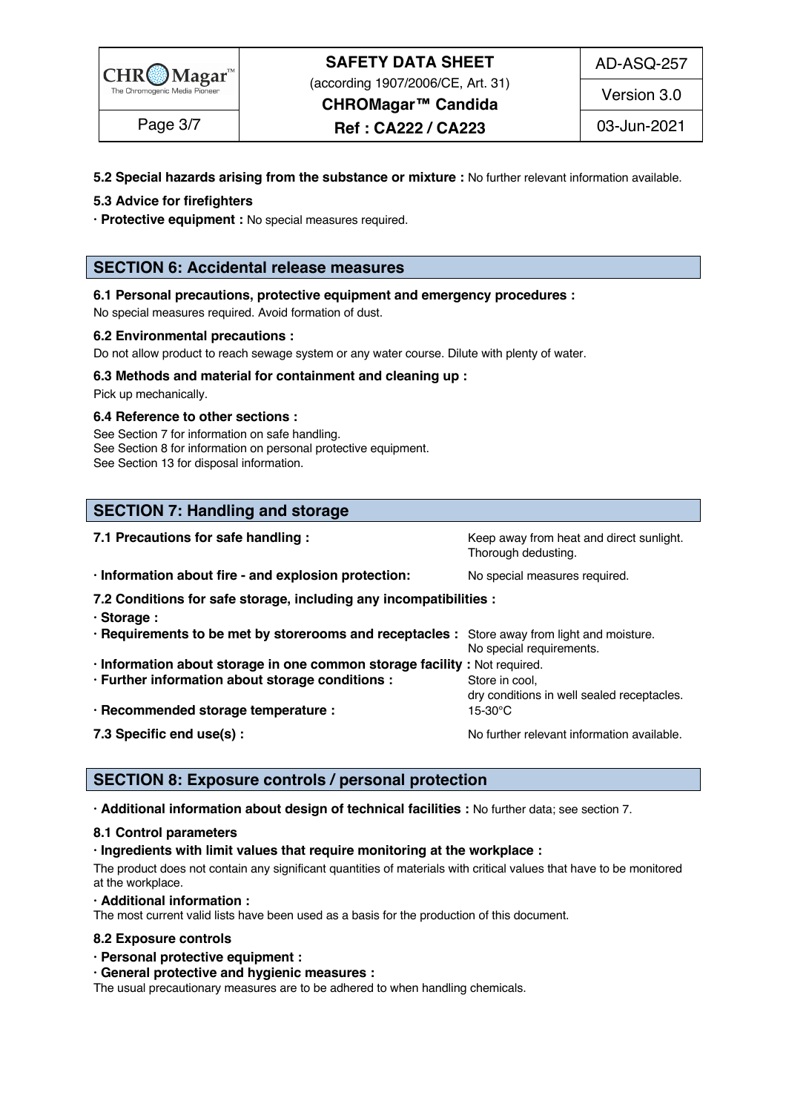

# **SAFETY DATA SHEET** (according 1907/2006/CE, Art. 31)

**CHROMagar™ Candida**

Page 3/7 | **Ref : CA222 / CA223** | 03-Jun-2021

Version 3.0

### **5.2 Special hazards arising from the substance or mixture :** No further relevant information available. 94

### **5.3 Advice for firefighters** 95

**· Protective equipment :** No special measures required. 96

### **SECTION 6: Accidental release measures**

### **6.1 Personal precautions, protective equipment and emergency procedures :** 100

No special measures required. Avoid formation of dust.

### **6.2 Environmental precautions :** 102

Do not allow product to reach sewage system or any water course. Dilute with plenty of water.

### **6.3 Methods and material for containment and cleaning up :** 104

Pick up mechanically. The contract of the contract of the contract of the contract of the contract of the contract of the contract of the contract of the contract of the contract of the contract of the contract of the cont

#### **6.4 Reference to other sections :** 106

See Section 7 for information on safe handling. 107 and 107 and 107 and 107 and 107 and 107 and 107 and 107 and 107 and 107 and 107 and 107 and 107 and 107 and 107 and 107 and 107 and 107 and 107 and 107 and 107 and 107 an See Section 8 for information on personal protective equipment. See Section 13 for disposal information. 109 and 200 and 200 and 200 and 200 and 200 and 200 and 200 and 200 and 200 and 200 and 200 and 200 and 200 and 200 and 200 and 200 and 200 and 200 and 200 and 200 and 200 and 200 a

# **SECTION 7: Handling and storage**

| 7.1 Precautions for safe handling :                                                          | Keep away from heat and direct sunlight.<br>Thorough dedusting. |
|----------------------------------------------------------------------------------------------|-----------------------------------------------------------------|
| · Information about fire - and explosion protection:                                         | No special measures required.                                   |
| 7.2 Conditions for safe storage, including any incompatibilities :                           |                                                                 |
| · Storage:                                                                                   |                                                                 |
| · Requirements to be met by storerooms and receptacles : Store away from light and moisture. | No special requirements.                                        |
| · Information about storage in one common storage facility : Not required.                   |                                                                 |
| · Further information about storage conditions :                                             | Store in cool,<br>dry conditions in well sealed receptacles.    |
| · Recommended storage temperature :                                                          | $15-30$ °C                                                      |
| 7.3 Specific end use(s) :                                                                    | No further relevant information available.                      |

### **SECTION 8: Exposure controls / personal protection**

**· Additional information about design of technical facilities :** No further data; see section 7. 128

### **8.1 Control parameters** 129

#### **· Ingredients with limit values that require monitoring at the workplace :** 130

The product does not contain any significant quantities of materials with critical values that have to be monitored at the workplace. The state of the state of the state of the state of the state of the state of the state of the state of the state of the state of the state of the state of the state of the state of the state of the state

### **· Additional information :** 133

The most current valid lists have been used as a basis for the production of this document.

#### **8.2 Exposure controls** 135

**· Personal protective equipment :** 136

#### **· General protective and hygienic measures :** 137

The usual precautionary measures are to be adhered to when handling chemicals.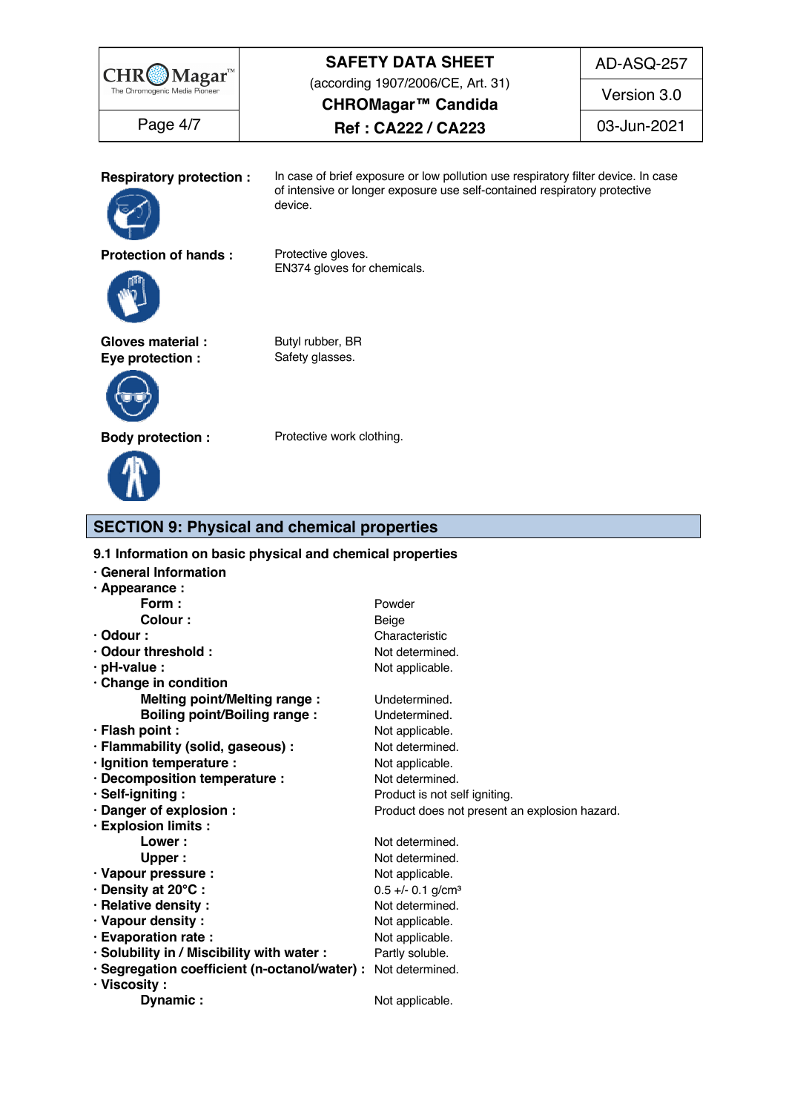| $\mathbf{M}$ agar $\mathrm{m}$              | <b>SAFETY DATA SHEET</b>                                                                                                                                                  | AD-ASQ-257  |
|---------------------------------------------|---------------------------------------------------------------------------------------------------------------------------------------------------------------------------|-------------|
| The Chromogenic Media Pioneer               | (according 1907/2006/CE, Art. 31)<br>CHROMagar <sup>™</sup> Candida                                                                                                       | Version 3.0 |
| Page 4/7                                    | Ref: CA222 / CA223                                                                                                                                                        | 03-Jun-2021 |
| <b>Respiratory protection:</b>              | In case of brief exposure or low pollution use respiratory filter device. In case<br>of intensive or longer exposure use self-contained respiratory protective<br>device. |             |
| <b>Protection of hands:</b>                 | Protective gloves.<br>EN374 gloves for chemicals.                                                                                                                         |             |
| <b>Gloves material:</b><br>Eye protection : | Butyl rubber, BR<br>Safety glasses.                                                                                                                                       |             |
| <b>Body protection:</b>                     | Protective work clothing.                                                                                                                                                 |             |

# **SECTION 9: Physical and chemical properties**

**9.1 Information on basic physical and chemical properties** 

| · General Information                                         |                                               |  |
|---------------------------------------------------------------|-----------------------------------------------|--|
| · Appearance :                                                |                                               |  |
| Form :                                                        | Powder                                        |  |
| Colour :                                                      | Beige                                         |  |
| $\cdot$ Odour :                                               | Characteristic                                |  |
| · Odour threshold:                                            | Not determined.                               |  |
| $\cdot$ pH-value :                                            | Not applicable.                               |  |
| · Change in condition                                         |                                               |  |
| <b>Melting point/Melting range:</b>                           | Undetermined.                                 |  |
| <b>Boiling point/Boiling range:</b>                           | Undetermined.                                 |  |
| · Flash point :                                               | Not applicable.                               |  |
| · Flammability (solid, gaseous) :                             | Not determined.                               |  |
| · Ignition temperature :                                      | Not applicable.                               |  |
| · Decomposition temperature :                                 | Not determined.                               |  |
| · Self-igniting:                                              | Product is not self igniting.                 |  |
| · Danger of explosion :                                       | Product does not present an explosion hazard. |  |
| · Explosion limits :                                          |                                               |  |
| Lower:                                                        | Not determined.                               |  |
| <b>Upper</b>                                                  | Not determined.                               |  |
| · Vapour pressure :                                           | Not applicable.                               |  |
| · Density at 20°C:                                            | $0.5 +/- 0.1$ g/cm <sup>3</sup>               |  |
| · Relative density:                                           | Not determined.                               |  |
| · Vapour density:                                             | Not applicable.                               |  |
| · Evaporation rate :                                          | Not applicable.                               |  |
| · Solubility in / Miscibility with water :                    | Partly soluble.                               |  |
| · Segregation coefficient (n-octanol/water) : Not determined. |                                               |  |
| · Viscosity :                                                 |                                               |  |
| Dynamic:                                                      | Not applicable.                               |  |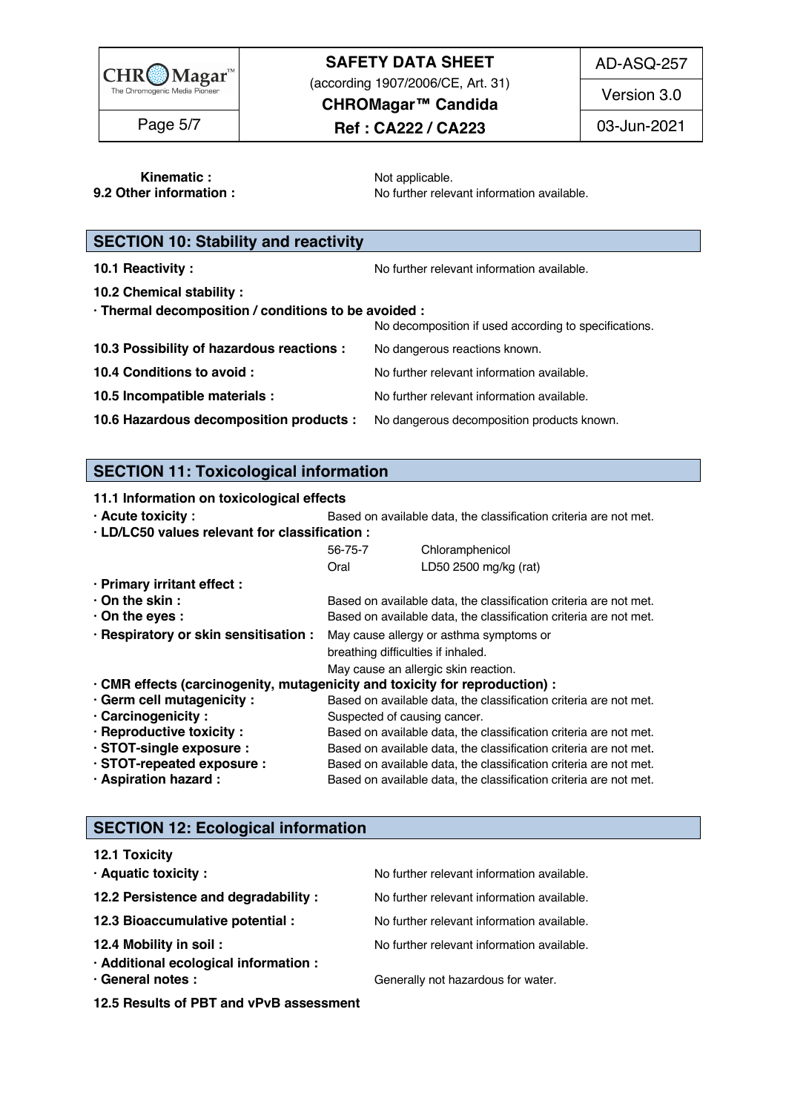

# **SAFETY DATA SHEET**

(according 1907/2006/CE, Art. 31)

AD-ASQ-257

**CHROMagar™ Candida**

Page 5/7 | **Ref : CA222 / CA223** | 03-Jun-2021

Version 3.0

**Kinematic :** The contract of the Motor applicable. The contract of the contract of the contract of the contract of the contract of the contract of the contract of the contract of the contract of the contract of the contra **9.2 Other information : No further relevant information available.** 1722 and 1722

| <b>SECTION 10: Stability and reactivity</b>                                        |                                                       |
|------------------------------------------------------------------------------------|-------------------------------------------------------|
| 10.1 Reactivity:                                                                   | No further relevant information available.            |
| 10.2 Chemical stability :                                                          |                                                       |
| · Thermal decomposition / conditions to be avoided :                               | No decomposition if used according to specifications. |
| 10.3 Possibility of hazardous reactions :                                          | No dangerous reactions known.                         |
| 10.4 Conditions to avoid :                                                         | No further relevant information available.            |
| 10.5 Incompatible materials :                                                      | No further relevant information available.            |
| 10.6 Hazardous decomposition products : No dangerous decomposition products known. |                                                       |

# **SECTION 11: Toxicological information**

**11.1 Information on toxicological effects** 

**· Acute toxicity** : **Based on available data, the classification criteria are not met.** 

| · LD/LC50 values relevant for classification :                                |                                    |                                                                   |  |  |  |  |
|-------------------------------------------------------------------------------|------------------------------------|-------------------------------------------------------------------|--|--|--|--|
|                                                                               | 56-75-7                            | Chloramphenicol                                                   |  |  |  |  |
|                                                                               | Oral                               | LD50 2500 mg/kg (rat)                                             |  |  |  |  |
| · Primary irritant effect :                                                   |                                    |                                                                   |  |  |  |  |
| $\cdot$ On the skin :                                                         |                                    | Based on available data, the classification criteria are not met. |  |  |  |  |
| $\cdot$ On the eyes :                                                         |                                    | Based on available data, the classification criteria are not met. |  |  |  |  |
| . Respiratory or skin sensitisation : May cause allergy or asthma symptoms or |                                    |                                                                   |  |  |  |  |
|                                                                               | breathing difficulties if inhaled. |                                                                   |  |  |  |  |
|                                                                               |                                    | May cause an allergic skin reaction.                              |  |  |  |  |
| · CMR effects (carcinogenity, mutagenicity and toxicity for reproduction) :   |                                    |                                                                   |  |  |  |  |
| · Germ cell mutagenicity :                                                    |                                    | Based on available data, the classification criteria are not met. |  |  |  |  |
| Carcinogenicity:                                                              | Suspected of causing cancer.       |                                                                   |  |  |  |  |
| $\cdot$ Reproductive toxicity :                                               |                                    | Based on available data, the classification criteria are not met. |  |  |  |  |
| · STOT-single exposure :                                                      |                                    | Based on available data, the classification criteria are not met. |  |  |  |  |
| STOT-repeated exposure :                                                      |                                    | Based on available data, the classification criteria are not met. |  |  |  |  |
| · Aspiration hazard :                                                         |                                    | Based on available data, the classification criteria are not met. |  |  |  |  |

# **SECTION 12: Ecological information**

| <b>12.1 Toxicity</b>                                       |                                            |
|------------------------------------------------------------|--------------------------------------------|
| · Aquatic toxicity:                                        | No further relevant information available. |
| 12.2 Persistence and degradability :                       | No further relevant information available. |
| 12.3 Bioaccumulative potential :                           | No further relevant information available. |
| 12.4 Mobility in soil:                                     | No further relevant information available. |
| · Additional ecological information :<br>· General notes : | Generally not hazardous for water.         |
| 12.5 Results of PBT and vPvB assessment                    |                                            |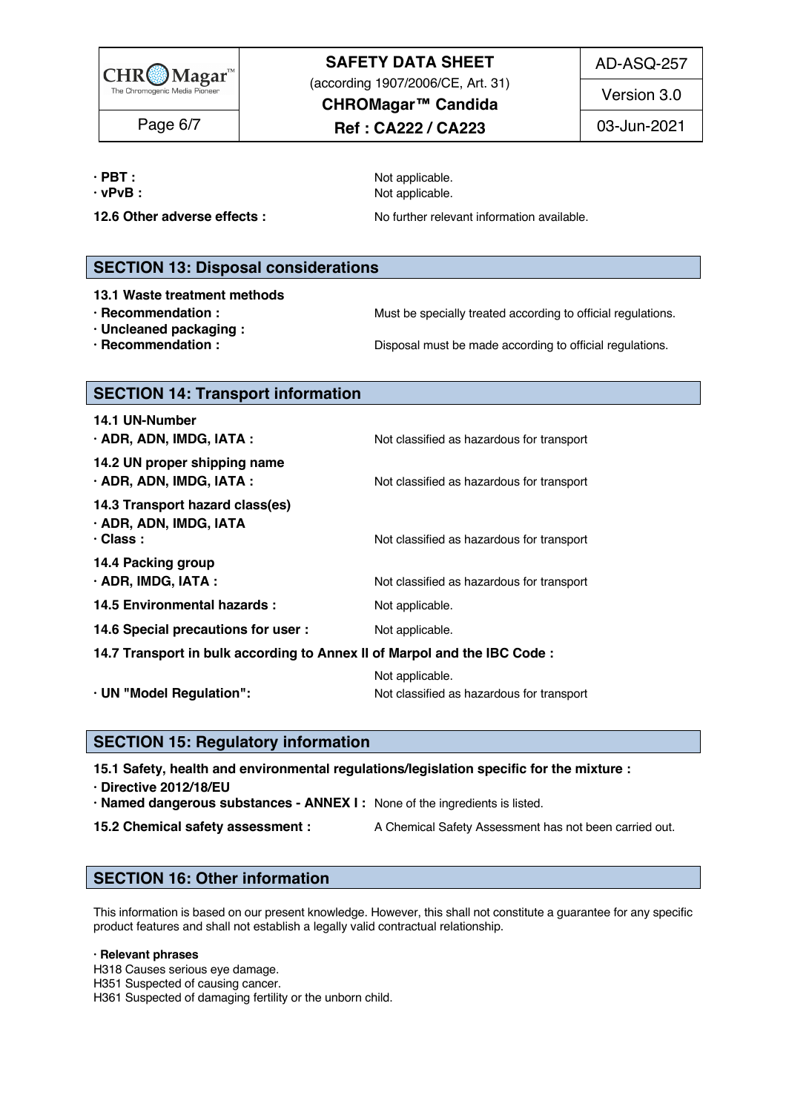

# **SAFETY DATA SHEET**

(according 1907/2006/CE, Art. 31)

AD-ASQ-257

**Ref : CA222 / CA223** Page 6/7 03-Jun-2021

**CHROMagar™ Candida**

Version 3.0

**· PBT :** Not applicable. 216 **· vPvB :** 2177 **COVERSUARY COVERSUARY POINT ASSESSMENT ASSESSMENT POINT AND <b>POINT ASSESSMENT ASSESSMENT ASSESSMENT** AND **A** 

**12.6 Other adverse effects :** No further relevant information available.

## **SECTION 13: Disposal considerations**

- **13.1 Waste treatment methods** 222
- 
- **· Uncleaned packaging :** 224
- 

**· Recommendation : Must be specially treated according to official regulations.** 

**· Recommendation : Disposal must be made according to official regulations.** 

### **SECTION 14: Transport information**

| 14.1 UN-Number                                                               |                                                              |
|------------------------------------------------------------------------------|--------------------------------------------------------------|
| $\cdot$ ADR, ADN, IMDG, IATA :                                               | Not classified as hazardous for transport                    |
| 14.2 UN proper shipping name<br>$\cdot$ ADR, ADN, IMDG, IATA :               | Not classified as hazardous for transport                    |
| 14.3 Transport hazard class(es)<br>· ADR, ADN, IMDG, IATA<br>$\cdot$ Class : | Not classified as hazardous for transport                    |
| 14.4 Packing group<br>$\cdot$ ADR, IMDG, IATA :                              | Not classified as hazardous for transport                    |
| 14.5 Environmental hazards :                                                 | Not applicable.                                              |
| 14.6 Special precautions for user :                                          | Not applicable.                                              |
| 14.7 Transport in bulk according to Annex II of Marpol and the IBC Code :    |                                                              |
| · UN "Model Regulation":                                                     | Not applicable.<br>Not classified as hazardous for transport |

## **SECTION 15: Regulatory information**

**15.1 Safety, health and environmental regulations/legislation specific for the mixture :** 246

- **· Directive 2012/18/EU** 247
- **· Named dangerous substances - ANNEX I :** None of the ingredients is listed. 248
- 
- **15.2 Chemical safety assessment :** A Chemical Safety Assessment has not been carried out.

# **SECTION 16: Other information** 252

This information is based on our present knowledge. However, this shall not constitute a guarantee for any specific product features and shall not establish a legally valid contractual relationship.

#### **· Relevant phrases** 257

H318 Causes serious eye damage. 258

H351 Suspected of causing cancer. 259

H361 Suspected of damaging fertility or the unborn child.